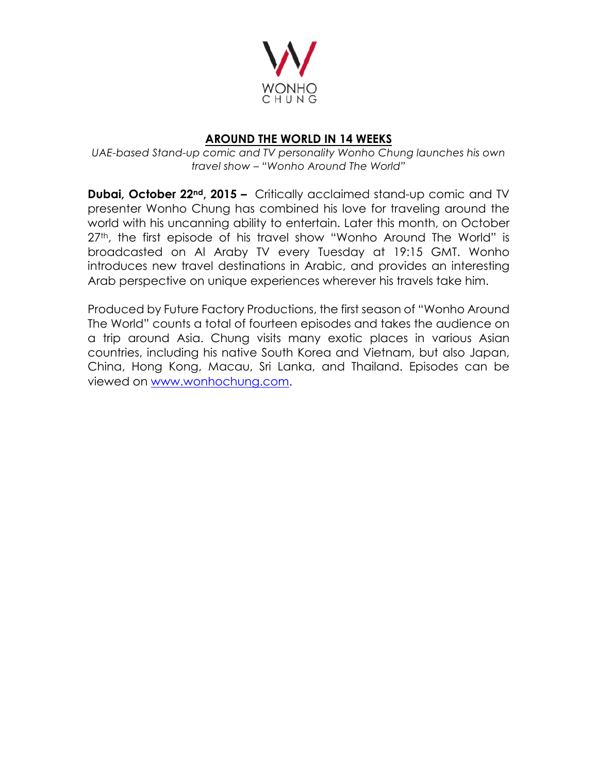

## **AROUND THE WORLD IN 14 WEEKS**

*UAE-based Stand-up comic and TV personality Wonho Chung launches his own travel show – "Wonho Around The World"*

**Dubai, October 22<sup>nd</sup>, 2015 –** Critically acclaimed stand-up comic and TV presenter Wonho Chung has combined his love for traveling around the world with his uncanning ability to entertain. Later this month, on October 27<sup>th</sup>, the first episode of his travel show "Wonho Around The World" is broadcasted on Al Araby TV every Tuesday at 19:15 GMT. Wonho introduces new travel destinations in Arabic, and provides an interesting Arab perspective on unique experiences wherever his travels take him.

Produced by Future Factory Productions, the first season of "Wonho Around The World" counts a total of fourteen episodes and takes the audience on a trip around Asia. Chung visits many exotic places in various Asian countries, including his native South Korea and Vietnam, but also Japan, China, Hong Kong, Macau, Sri Lanka, and Thailand. Episodes can be viewed on www.wonhochung.com.